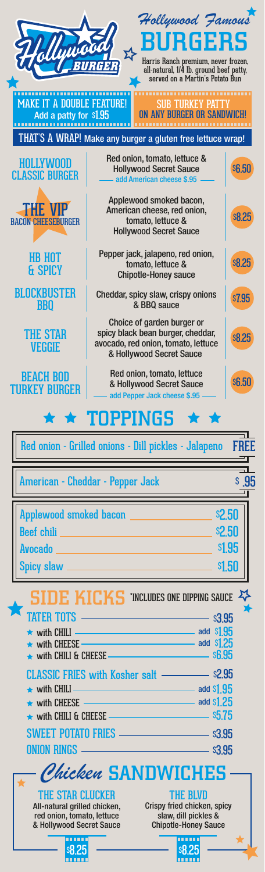|                                                                                        | Hollywood Famous                                                                                                                   |               |  |  |  |
|----------------------------------------------------------------------------------------|------------------------------------------------------------------------------------------------------------------------------------|---------------|--|--|--|
|                                                                                        | <b>BURGERS</b>                                                                                                                     |               |  |  |  |
|                                                                                        | Harris Ranch premium, never frozen,<br>all-natural, 1/4 lb. ground beef patty,                                                     |               |  |  |  |
|                                                                                        | served on a Martin's Potato Bun                                                                                                    |               |  |  |  |
| <b>MAKE IT A DOUBLE FEATURE!</b><br>Add a patty for \$1.95                             | <br><b>SUB TURKEY PATTY</b><br>ON ANY BURGER OR SANDWICH!                                                                          |               |  |  |  |
|                                                                                        | THAT'S A WRAP! Make any burger a gluten free lettuce wrap!                                                                         |               |  |  |  |
| <b>HOLLYWOOD</b><br><b>CLASSIC BURGER</b>                                              | Red onion, tomato, lettuce &<br><b>Hollywood Secret Sauce</b>                                                                      | <b>\$6.50</b> |  |  |  |
|                                                                                        | add American cheese \$.95                                                                                                          |               |  |  |  |
| <b>THE VIP</b><br><b>BACON CHEESERURGER</b>                                            | Applewood smoked bacon,<br>American cheese, red onion,<br>tomato, lettuce &<br><b>Hollywood Secret Sauce</b>                       | <b>s8.25</b>  |  |  |  |
| <b>HB HOT</b><br>& SPICY                                                               | Pepper jack, jalapeno, red onion,<br>tomato, lettuce &<br><b>Chipotle-Honey sauce</b>                                              | <b>s8.25</b>  |  |  |  |
| BLOCKBUSTER<br><b>BBO</b>                                                              | Cheddar, spicy slaw, crispy onions<br>& BBQ sauce                                                                                  | <b>s7.95</b>  |  |  |  |
| <b>THE STAR</b><br><b>VEGGIE</b>                                                       | Choice of garden burger or<br>spicy black bean burger, cheddar,<br>avocado, red onion, tomato, lettuce<br>& Hollywood Secret Sauce | <b>s8.25</b>  |  |  |  |
| <b>BEACH BOD</b><br><b>TURKEY BURGER</b>                                               | Red onion, tomato, lettuce<br>& Hollywood Secret Sauce<br>add Pepper Jack cheese \$.95                                             | <b>\$6.50</b> |  |  |  |
| $\star \star$ TOPPINGS $\star \star$                                                   |                                                                                                                                    |               |  |  |  |
|                                                                                        | Red onion - Grilled onions - Dill pickles - Jalapeno FREE                                                                          |               |  |  |  |
|                                                                                        |                                                                                                                                    |               |  |  |  |
|                                                                                        | American - Cheddar - Pepper Jack                                                                                                   | S.95          |  |  |  |
|                                                                                        |                                                                                                                                    |               |  |  |  |
|                                                                                        |                                                                                                                                    |               |  |  |  |
|                                                                                        | Applewood smoked bacon _________________                                                                                           | \$2.50        |  |  |  |
|                                                                                        | $\_$ \$1.95                                                                                                                        |               |  |  |  |
|                                                                                        |                                                                                                                                    |               |  |  |  |
|                                                                                        |                                                                                                                                    |               |  |  |  |
|                                                                                        | <b>SIDE KICKS</b> INCLUDES ONE DIPPING SAUCE $X$                                                                                   |               |  |  |  |
|                                                                                        |                                                                                                                                    |               |  |  |  |
|                                                                                        | $\star$ with CHILI $\sim$ and $\frac{195}{100}$                                                                                    |               |  |  |  |
|                                                                                        | $\star$ with CHEESE and S1.25                                                                                                      |               |  |  |  |
|                                                                                        | CLASSIC FRIES with Kosher salt - \$2.95                                                                                            |               |  |  |  |
|                                                                                        |                                                                                                                                    |               |  |  |  |
|                                                                                        | ★ with CHEESE $\longrightarrow$                                                                                                    |               |  |  |  |
|                                                                                        | $\star$ with CHILI & CHEESE $\sim$                                                                                                 |               |  |  |  |
|                                                                                        | SWEET POTATO FRIES __________________________ \$3.95                                                                               |               |  |  |  |
|                                                                                        |                                                                                                                                    |               |  |  |  |
|                                                                                        | Chicken SANDWICHES                                                                                                                 |               |  |  |  |
| THE STAR CLUCKER                                                                       | <b>THE BLVD</b>                                                                                                                    |               |  |  |  |
| All-natural grilled chicken,<br>red onion, tomato, lettuce<br>& Hollywood Secret Sauce | Crispy fried chicken, spicy<br>slaw, dill pickles &<br><b>Chipotle-Honey Sauce</b>                                                 |               |  |  |  |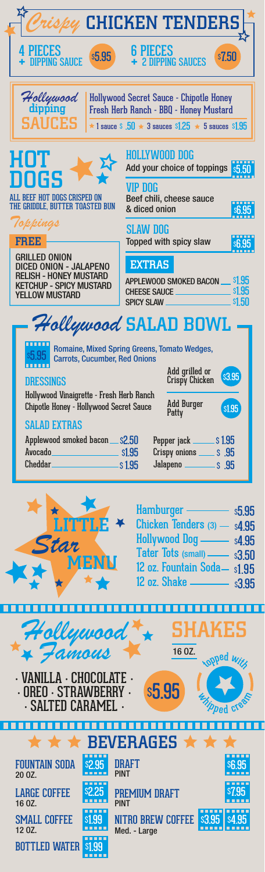| ispy CHICKEN TENDERS                                                                                                                                                                              |                                                                                                                                                                                                  |  |  |  |  |
|---------------------------------------------------------------------------------------------------------------------------------------------------------------------------------------------------|--------------------------------------------------------------------------------------------------------------------------------------------------------------------------------------------------|--|--|--|--|
| <b>PIECES</b><br><b>s5.95</b><br><b>DIPPING SAUCE</b>                                                                                                                                             | <b>6 PIECES</b><br>s7.50<br><b>2 DIPPING SAUCES</b>                                                                                                                                              |  |  |  |  |
| Hollywood<br>dipping<br>Hollywood Secret Sauce - Chipotle Honey<br>Fresh Herb Ranch - BBQ - Honey Mustard<br><b>SAUCES</b><br>$\star$ 1 sauce S .50 $\star$ 3 sauces S1.25 $\star$ 5 sauces S1.95 |                                                                                                                                                                                                  |  |  |  |  |
| HOT<br>DOGS<br>ALL BEEF HOT DOGS CRISPED ON<br>THE GRIDDLE, BUTTER TOASTED BUN                                                                                                                    | <b>HOLLYWOOD DOG</b><br>Add your choice of toppings<br><b>VIP DOG</b><br>Beef chili, cheese sauce<br>& diced onion                                                                               |  |  |  |  |
| Toppings<br><b>FREE</b>                                                                                                                                                                           | <b>SLAW DOG</b><br>Topped with spicy slaw                                                                                                                                                        |  |  |  |  |
| <b>GRILLED ONION</b><br><b>DICED ONION - JALAPENO</b><br><b>RELISH - HONEY MUSTARD</b><br><b>KETCHUP - SPICY MUSTARD</b><br><b>YELLOW MUSTARD</b>                                                 | <b>EXTRAS</b><br><b>s1.95</b><br>APPLEWOOD SMOKED BACON .<br><b>s1.95</b><br><b>CHEESE SAUCE</b><br><b>s1.50</b><br><b>SPICY SLAW</b>                                                            |  |  |  |  |
| Hollywood SALAD BOWL                                                                                                                                                                              |                                                                                                                                                                                                  |  |  |  |  |
| Romaine, Mixed Spring Greens, Tomato Wedges,<br><b>Carrots, Cucumber, Red Onions</b><br>Add grilled or<br><b>s3.95</b><br>Crispy Chicken<br>DRESSINGS<br>Hollywood Vinaigrette - Fresh Herb Ranch |                                                                                                                                                                                                  |  |  |  |  |
| <b>Add Burger</b><br>Chipotle Honey - Hollywood Secret Sauce<br>s1.95<br>Patty                                                                                                                    |                                                                                                                                                                                                  |  |  |  |  |
| <b>SALAD EXTRAS</b>                                                                                                                                                                               |                                                                                                                                                                                                  |  |  |  |  |
| Applewood smoked bacon __ \$2.50<br>Avocado_<br>$\frac{1}{100}$ s1.95<br>Cheddar S1.95                                                                                                            | Pepper jack ________ \$1.95<br>Crispy onions _______ \$ .95                                                                                                                                      |  |  |  |  |
| LITTLE *<br>Star<br>MENN                                                                                                                                                                          | Hamburger ————<br><b>s5.95</b><br>Chicken Tenders $(3)$ - $s4.95$<br>Hollywood Dog - s4.95<br>Tater Tots (small) - \$3.50<br>12 oz. Fountain Soda- s1.95<br>12 oz. Shake ______<br><b>\$3.95</b> |  |  |  |  |
|                                                                                                                                                                                                   |                                                                                                                                                                                                  |  |  |  |  |
|                                                                                                                                                                                                   | <b>SHAKES</b><br>16 OZ.                                                                                                                                                                          |  |  |  |  |
| Hollywood<br>** Famous<br>· VANILLA · CHOCOLATE ·<br>· OREO · STRAWBERRY ·<br>· SALTED CARAMEL ·                                                                                                  | <b>OPPed</b> Wi<br><b>s5.95</b>                                                                                                                                                                  |  |  |  |  |
|                                                                                                                                                                                                   | $\star$ BEVERAGES $\star \star$                                                                                                                                                                  |  |  |  |  |
| <b>FOUNTAIN SODA</b>                                                                                                                                                                              | IIKAF I<br>PINT                                                                                                                                                                                  |  |  |  |  |
| 20 OZ.<br>-----<br>s2.25<br><b>LARGE COFFEE</b><br>16 0Z.                                                                                                                                         | -----<br>PREMIUM DRAFT<br><b>PINT</b>                                                                                                                                                            |  |  |  |  |

BOTTLED WATER <mark>\$1.99</mark>

i

ׇ֚֚֚֚֚֚֚֠֕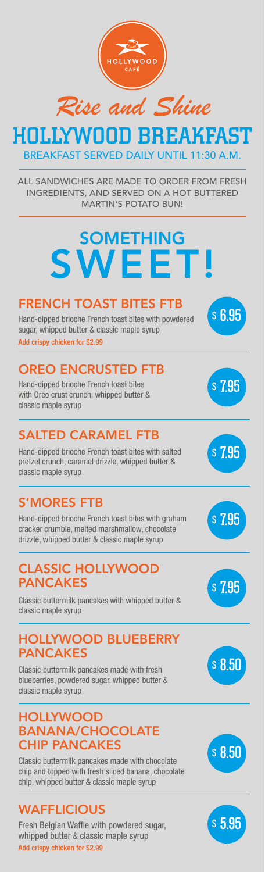

*Rise and Shine*  HOLLYWOOD BREAKFAST

BREAKFAST SERVED DAILY UNTIL 11:30 A.M.

ALL SANDWICHES ARE MADE TO ORDER FROM FRESH INGREDIENTS, AND SERVED ON A HOT BUTTERED MARTIN'S POTATO BUN!

## SOMETHING SWEET! FRENCH TOAST BITES FTB Hand-dipped brioche French toast bites with powdered sugar, whipped butter & classic maple syrup \$ 6.95 Add crispy chicken for \$2.99 OREO ENCRUSTED FTB Hand-dipped brioche French toast bites with Oreo crust crunch, whipped butter & classic maple syrup \$ 7.95 SALTED CARAMEL FTB Hand-dipped brioche French toast bites with salted pretzel crunch, caramel drizzle, whipped butter & classic maple syrup \$ 7.95 S'MORES FTB Hand-dipped brioche French toast bites with graham cracker crumble, melted marshmallow, chocolate drizzle, whipped butter & classic maple syrup \$ 7.95 CLASSIC HOLLYWOOD PANCAKES Classic buttermilk pancakes with whipped butter & classic maple syrup \$ 7.95 HOLLYWOOD BLUEBERRY PANCAKES Classic buttermilk pancakes made with fresh blueberries, powdered sugar, whipped butter & classic maple syrup \$ 8.50 **HOLLYWOOD** BANANA/CHOCOLATE **HIP PANCAKES** Classic buttermilk pancakes made with chocolate chip and topped with fresh sliced banana, chocolate \$ 8.50

**WAFFLICIOUS** 

Fresh Belgian Waffle with powdered sugar, whipped butter & classic maple syrup Add crispy chicken for \$2.99

\$ 5.95

chip, whipped butter & classic maple syrup